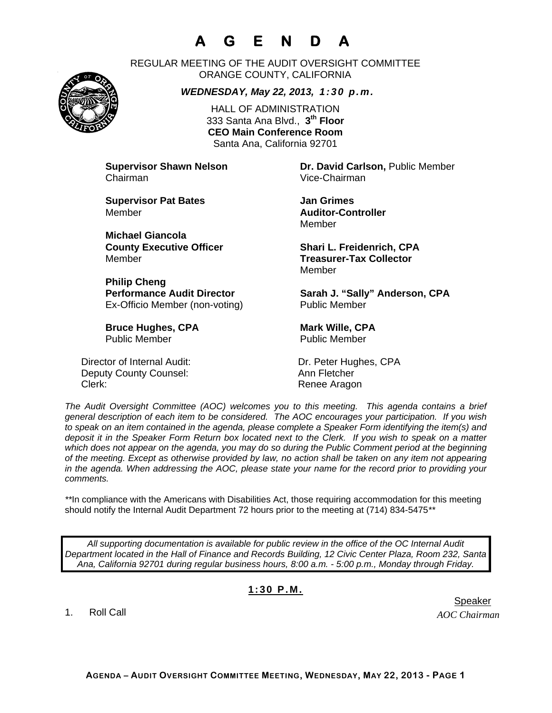## **A G E N D A**



REGULAR MEETING OF THE AUDIT OVERSIGHT COMMITTEE ORANGE COUNTY, CALIFORNIA

*WEDNESDAY, May 22, 2013, 1:30 p.m.*

HALL OF ADMINISTRATION 333 Santa Ana Blvd., **3th Floor CEO Main Conference Room**  Santa Ana, California 92701

Chairman Vice-Chairman

**Supervisor Pat Bates**  Jan Grimes Member **Auditor-Controller** 

**Michael Giancola** Member **Treasurer-Tax Collector** 

**Philip Cheng**  Ex-Officio Member (non-voting) Public Member

**Bruce Hughes, CPA** Mark Wille, CPA Public Member Public Member

Director of Internal Audit: Dr. Peter Hughes, CPA Deputy County Counsel: Ann Fletcher Clerk: Clerk: Clerk: Clerk: Renee Aragon

**Supervisor Shawn Nelson Dr. David Carlson,** Public Member

Member

**County Executive Officer Shari L. Freidenrich, CPA** Member

Performance Audit Director **Sarah J. "Sally" Anderson, CPA** 

*The Audit Oversight Committee (AOC) welcomes you to this meeting. This agenda contains a brief general description of each item to be considered. The AOC encourages your participation. If you wish to speak on an item contained in the agenda, please complete a Speaker Form identifying the item(s) and deposit it in the Speaker Form Return box located next to the Clerk. If you wish to speak on a matter which does not appear on the agenda, you may do so during the Public Comment period at the beginning of the meeting. Except as otherwise provided by law, no action shall be taken on any item not appearing in the agenda. When addressing the AOC, please state your name for the record prior to providing your comments.* 

*\*\**In compliance with the Americans with Disabilities Act, those requiring accommodation for this meeting should notify the Internal Audit Department 72 hours prior to the meeting at (714) 834-5475*\*\** 

*All supporting documentation is available for public review in the office of the OC Internal Audit Department located in the Hall of Finance and Records Building, 12 Civic Center Plaza, Room 232, Santa Ana, California 92701 during regular business hours, 8:00 a.m. - 5:00 p.m., Monday through Friday.* 

## **1:30 P.M.**

1. Roll Call

er in de staat de staat de bestiet in de staat de staat de staat de Speaker en de Speaker in de Speaker en de

*AOC Chairman*